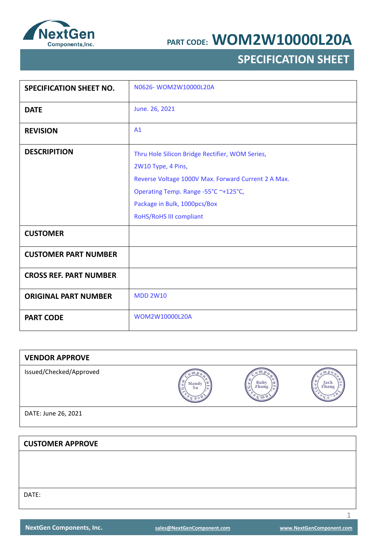

# **SPECIFICATION SHEET**

| <b>SPECIFICATION SHEET NO.</b> | N0626-WOM2W10000L20A                                                                                                                                                                                                            |
|--------------------------------|---------------------------------------------------------------------------------------------------------------------------------------------------------------------------------------------------------------------------------|
| <b>DATE</b>                    | June. 26, 2021                                                                                                                                                                                                                  |
| <b>REVISION</b>                | A1                                                                                                                                                                                                                              |
| <b>DESCRIPITION</b>            | Thru Hole Silicon Bridge Rectifier, WOM Series,<br>2W10 Type, 4 Pins,<br>Reverse Voltage 1000V Max. Forward Current 2 A Max.<br>Operating Temp. Range -55°C ~+125°C,<br>Package in Bulk, 1000pcs/Box<br>RoHS/RoHS III compliant |
| <b>CUSTOMER</b>                |                                                                                                                                                                                                                                 |
| <b>CUSTOMER PART NUMBER</b>    |                                                                                                                                                                                                                                 |
| <b>CROSS REF. PART NUMBER</b>  |                                                                                                                                                                                                                                 |
| <b>ORIGINAL PART NUMBER</b>    | <b>MDD 2W10</b>                                                                                                                                                                                                                 |
| <b>PART CODE</b>               | WOM2W10000L20A                                                                                                                                                                                                                  |

| <b>VENDOR APPROVE</b>   |             |                    |               |
|-------------------------|-------------|--------------------|---------------|
| Issued/Checked/Approved | Mandy<br>Xu | Ruby<br>Zhang<br>٥ | Jack<br>Zhang |
| DATE: June 26, 2021     |             |                    |               |
|                         |             |                    |               |
| <b>CUSTOMER APPROVE</b> |             |                    |               |
|                         |             |                    |               |
|                         |             |                    |               |

DATE: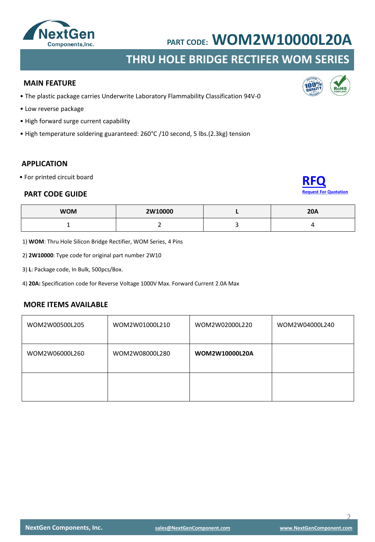

### **THRU HOLE BRIDGE RECTIFER WOM SERIES**

#### **MAIN FEATURE**

- The plastic package carries Underwrite Laboratory Flammability Classification 94V-0
- Low reverse package
- High forward surge current capability
- High temperature soldering guaranteed: 260°C /10 second, 5 lbs.(2.3kg) tension

### **APPLICATION**

• For printed circuit board

#### **PART CODE GUIDE**



| <b>WOM</b> | 2W10000 | <b>20A</b> |
|------------|---------|------------|
|            |         |            |

1) **WOM**: Thru Hole Silicon Bridge Rectifier, WOM Series, 4 Pins

2) **2W10000**: Type code for original part number 2W10

3) **L**: Package code, In Bulk, 500pcs/Box.

4) **20A:** Specification code for Reverse Voltage 1000V Max. Forward Current 2.0A Max

#### **MORE ITEMS AVAILABLE**

| WOM2W00500L205 | WOM2W01000L210 | WOM2W02000L220 | WOM2W04000L240 |
|----------------|----------------|----------------|----------------|
| WOM2W06000L260 | WOM2W08000L280 | WOM2W10000L20A |                |
|                |                |                |                |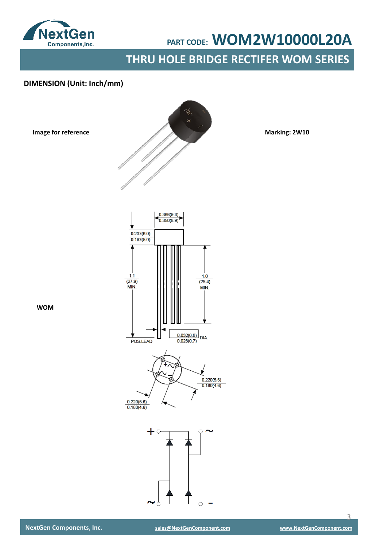

**THRU HOLE BRIDGE RECTIFER WOM SERIES**

### **DIMENSION (Unit: Inch/mm)**

**Image for reference**



**Marking: 2W10**





**WOM**

 $\overline{\mathcal{L}}$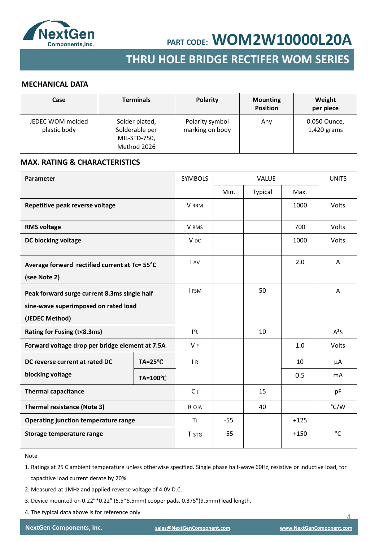

## **SMD SCHOTTKY BARRIER RECTIFER SMD GENERAL RECTIFER THRU HOLE BRIDGE RECTIFER WOM SERIES**

#### **MECHANICAL DATA**

| Case                             | <b>Terminals</b>                                                | <b>Polarity</b>                    | <b>Mounting</b><br><b>Position</b> | Weight<br>per piece           |
|----------------------------------|-----------------------------------------------------------------|------------------------------------|------------------------------------|-------------------------------|
| JEDEC WOM molded<br>plastic body | Solder plated,<br>Solderable per<br>MIL-STD-750,<br>Method 2026 | Polarity symbol<br>marking on body | Any                                | 0.050 Ounce,<br>$1.420$ grams |

#### **MAX. RATING & CHARACTERISTICS**

| Parameter                                                                                              |                    | <b>SYMBOLS</b>  | <b>VALUE</b> |         | <b>UNITS</b> |                |
|--------------------------------------------------------------------------------------------------------|--------------------|-----------------|--------------|---------|--------------|----------------|
|                                                                                                        |                    |                 | Min.         | Typical | Max.         |                |
| Repetitive peak reverse voltage                                                                        |                    | <b>V</b> RRM    |              |         | 1000         | Volts          |
| <b>RMS voltage</b>                                                                                     |                    | V RMS           |              |         | 700          | Volts          |
| DC blocking voltage                                                                                    |                    | V <sub>DC</sub> |              |         | 1000         | Volts          |
| Average forward rectified current at Tc= 55°C<br>(see Note 2)                                          |                    | I AV            |              |         | 2.0          | A              |
| Peak forward surge current 8.3ms single half<br>sine-wave superimposed on rated load<br>(JEDEC Method) |                    | I FSM           |              | 50      |              | A              |
| Rating for Fusing (t<8.3ms)                                                                            |                    | $l^2t$          |              | 10      |              | $A^2S$         |
| Forward voltage drop per bridge element at 7.5A                                                        |                    | V <sub>F</sub>  |              |         | 1.0          | Volts          |
| DC reverse current at rated DC                                                                         | $TA = 25^{\circ}C$ | $\overline{R}$  |              |         | 10           | μA             |
| blocking voltage                                                                                       | TA=100°C           |                 |              |         | 0.5          | m <sub>A</sub> |
| <b>Thermal capacitance</b>                                                                             |                    | $C_{J}$         |              | 15      |              | pF             |
| <b>Thermal resistance (Note 3)</b>                                                                     |                    | R QJA           |              | 40      |              | °C/W           |
| Operating junction temperature range                                                                   |                    | ΤJ              | $-55$        |         | $+125$       |                |
| Storage temperature range                                                                              |                    | T STG           | $-55$        |         | $+150$       | °C             |

Note

1. Ratings at 25 C ambient temperature unless otherwise specified. Single phase half-wave 60Hz, resistive or inductive load, for capacitive load current derate by 20%.

- 2. Measured at 1MHz and applied reverse voltage of 4.0V D.C.
- 3. Device mounted on 0.22"\*0.22" (5.5\*5.5mm) cooper pads, 0.375"(9.5mm) lead length.
- 4. The typical data above is for reference only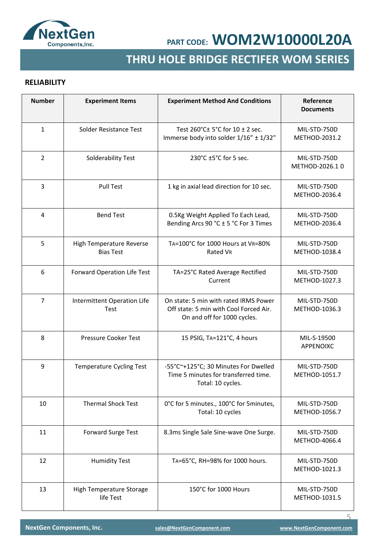

# **SMD GENERAL RECTIFER THRU HOLE BRIDGE RECTIFER WOM SERIES**

### **RELIABILITY**

| <b>Number</b>  | <b>Experiment Items</b>                      | <b>Experiment Method And Conditions</b>                                                                        | Reference<br><b>Documents</b>  |
|----------------|----------------------------------------------|----------------------------------------------------------------------------------------------------------------|--------------------------------|
| $\mathbf{1}$   | Solder Resistance Test                       | Test 260°C± 5°C for 10 ± 2 sec.<br>Immerse body into solder 1/16" ± 1/32"                                      | MIL-STD-750D<br>METHOD-2031.2  |
| $\overline{2}$ | Solderability Test                           | 230°C ±5°C for 5 sec.                                                                                          | MIL-STD-750D<br>METHOD-2026.10 |
| 3              | <b>Pull Test</b>                             | 1 kg in axial lead direction for 10 sec.                                                                       | MIL-STD-750D<br>METHOD-2036.4  |
| 4              | <b>Bend Test</b>                             | 0.5Kg Weight Applied To Each Lead,<br>Bending Arcs 90 °C ± 5 °C For 3 Times                                    | MIL-STD-750D<br>METHOD-2036.4  |
| 5              | High Temperature Reverse<br><b>Bias Test</b> | TA=100°C for 1000 Hours at VR=80%<br>Rated VR                                                                  | MIL-STD-750D<br>METHOD-1038.4  |
| 6              | Forward Operation Life Test                  | TA=25°C Rated Average Rectified<br>Current                                                                     | MIL-STD-750D<br>METHOD-1027.3  |
| $\overline{7}$ | Intermittent Operation Life<br>Test          | On state: 5 min with rated IRMS Power<br>Off state: 5 min with Cool Forced Air.<br>On and off for 1000 cycles. | MIL-STD-750D<br>METHOD-1036.3  |
| 8              | Pressure Cooker Test                         | 15 PSIG, TA=121°C, 4 hours                                                                                     | MIL-S-19500<br>APPENOIXC       |
| 9              | <b>Temperature Cycling Test</b>              | -55°C~+125°C; 30 Minutes For Dwelled<br>Time 5 minutes for transferred time.<br>Total: 10 cycles.              | MIL-STD-750D<br>METHOD-1051.7  |
| 10             | Thermal Shock Test                           | 0°C for 5 minutes., 100°C for 5minutes,<br>Total: 10 cycles                                                    | MIL-STD-750D<br>METHOD-1056.7  |
| 11             | Forward Surge Test                           | 8.3ms Single Sale Sine-wave One Surge.                                                                         | MIL-STD-750D<br>METHOD-4066.4  |
| 12             | <b>Humidity Test</b>                         | TA=65°C, RH=98% for 1000 hours.                                                                                | MIL-STD-750D<br>METHOD-1021.3  |
| 13             | High Temperature Storage<br>life Test        | 150°C for 1000 Hours                                                                                           | MIL-STD-750D<br>METHOD-1031.5  |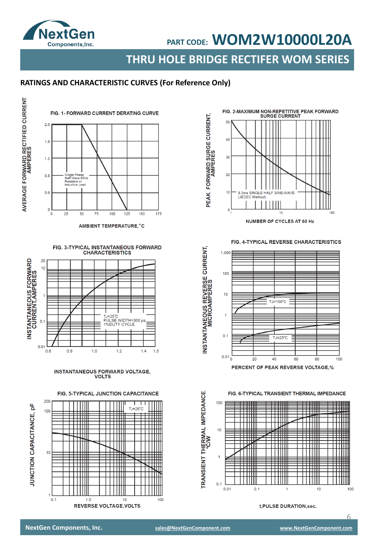

**THRU HOLE BRIDGE RECTIFER WOM SERIES**

### **RATINGS AND CHARACTERISTIC CURVES (For Reference Only)**



AMBIENT TEMPERATURE, °C





INSTANTANEOUS FORWARD VOLTAGE,<br>VOLTS

FIG. 5-TYPICAL JUNCTION CAPACITANCE





FIG. 4-TYPICAL REVERSE CHARACTERISTICS



FIG. 6-TYPICAL TRANSIENT THERMAL IMPEDANCE



t, PULSE DURATION, sec.